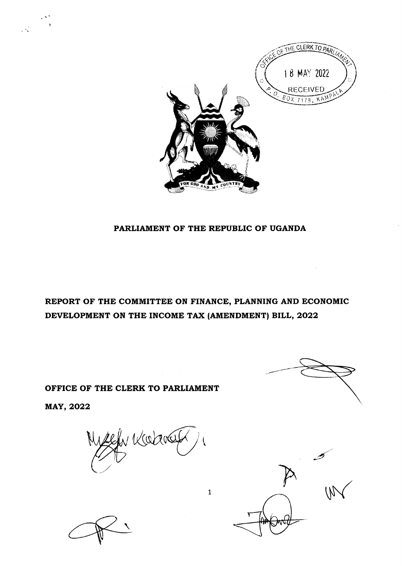

## PARLIAMENT OF THE REPUBLIC OF UGANDA

REPORT OF THE COMMITTEE ON FINANCE, PLANNING AND ECONOMIC DEVELOPMENT ON THE INCOME TAX (AMENDMENT) BILL, 2022

1

 $\mathcal{A}^{\mathcal{A}}$ 

OFFICE OF THE CLERK TO PARLIAMENT

MAY, 2022

 $\begin{array}{c} \mathcal{D}^{\mathcal{A}} \\ \mathcal{D}^{\mathcal{A}} \\ \mathcal{D}^{\mathcal{A}} \end{array}$ 

 $4$  Karal  $\overline{\phantom{a}}$ 



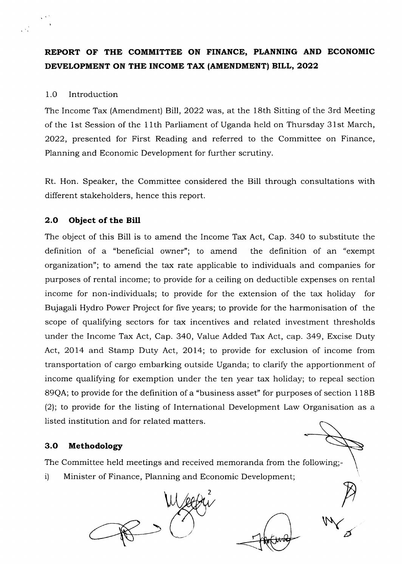# REPORT OF THE COMMITTEE ON FINANCE, PLANNTNG AND ECONOMIC DEVELOPMENT ON THE INCOME TAX (AMENDMENT) BILL, 2022

## 1.0 Introduction

 $\mathcal{L}_{\mathcal{A}}^{\mathcal{A}}$ 

The Income Tax (Amendment) Bill, 2022 was, at the 18th Sitting of the 3rd Meeting of the 1st Session of the 1 lth Parliament of Uganda held on Thursday 31st March, 2022, presented for First Reading and referred to the Committee on Finance, Planning and Economic Development for further scrutiny.

Rt. Hon. Speaker, the Committee considered the Bill through consultations with different stakeholders, hence this report.

## 2.O Object of the Bill

The object of this Bill is to amend the Income Tax Act, Cap. 340 to substitute the definition of a "beneficial owner"; to amend the definition of an "exempt organization"; to amend the tax rate applicable to individuals and companies for purposes of rental income; to provide for a ceiling on deductible expenses on rental income for non-individuals; to provide for the extension of the tax holiday for Bujagali Hydro Power Project for five years; to provide for the harmonisation of the scope of qualifying sectors for tax incentives and related investment thresholds under the Income Tax Act, Cap. 340, Value Added Tax Act, cap. 349, Excise Duty Act, 2014 and Stamp Duty Act, 2014; to provide for exclusion of income from transportation of cargo embarking outside Uganda; to clarify the apportionment of income qualifying for exemption under the ten year tax holiday; to repeal section 89QA; to provide for the definition of a "business asset" for purposes of section 1 188 (2); to provide for the listing of International Development Law Organisation as a listed institution and for related matters.

## 3.O Methodology

The Committee held meetings and received memoranda from the following;-

2

i) Minister of Finance, Planning and Economic Development;



P  $W$ 

/7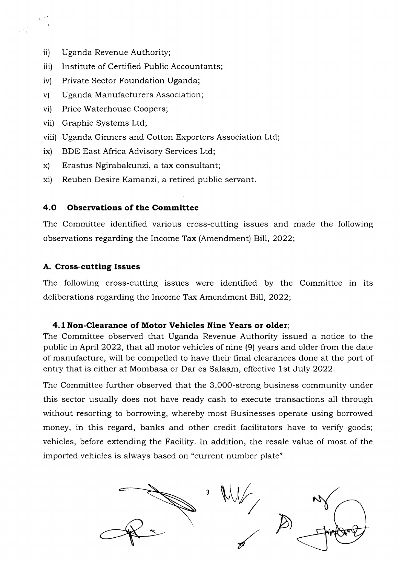ii) Uganda Revenue Authority;

 $\frac{1}{\sqrt{2}}$ 

- iii) Institute of Certified Public Accountants;
- iv) Private Sector Foundation Uganda;
- v) Uganda Manufacturers Association;
- vi) Price Waterhouse Coopers;
- vii) Graphic Systems Ltd;
- viii) Uganda Ginners and Cotton Exporters Association Ltd;
- ix) BDE East Africa Advisory Services Ltd;
- x) Erastus Ngirabakunzi, a tax consultant;
- xi) Reuben Desire Kamanzi, a retired public servant.

## 4.O Observations of the Committee

The Committee identified various cross-cutting issues and made the following observations regarding the Income Tax (Amendment) Bill,2022;

## A. Cross-cutting Issues

The following cross-cutting issues were identified by the Committee in its deliberations regarding the Income Tax Amendment Bill, 2022;

## 4.1 Non-Clearance of Motor Vehicles Nine Years or older;

The Committee observed that Uganda Revenue Authority issued a notice to the public in April 2022, that all motor vehicles of nine (9) years and older from the date of manufacture, will be compelled to have their final clearances done at the port of entry that is either at Mombasa or Dar es Salaam, effective 1st July 2022.

The Committee further observed that the 3,O0O-strong business community under this sector usually does not have ready cash to execute transactions all through without resorting to borrowing, whereby most Businesses operate using borrowed money, in this regard, banks and other credit facilitators have to verify goods; vehicles, before extending the Facility. In addition, the resale value of most of the imported vehicles is always based on "current number plate".

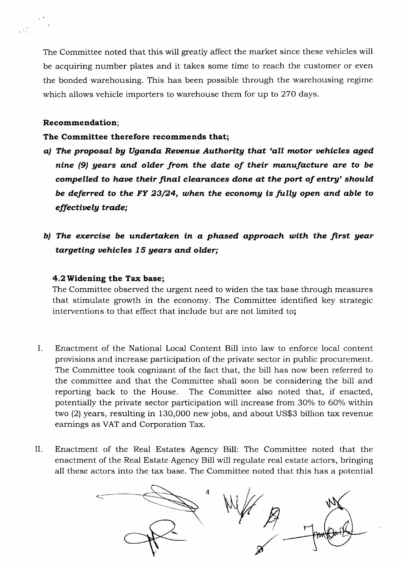The Committee noted that this will greatly affect the market since these vehicles will be acquiring number plates and it takes some time to reach the customer or even the bonded warehousing. This has been possible through the warehousing regime which allows vehicle importers to warehouse them for up to 27O days.

## Recommendation;

 $\mathcal{N}^{\mathcal{N}}$ 

## The Committee therefore recommends that;

- a) The proposal by Uganda Revenue Authority that 'all motor vehicles aged nine (9) gears and older from the date of their manufacture are to be compelled to have their final clearances done at the port of entry' should be deferred to the FY 23/24, when the economy is fully open and able to effectively trade;
- b) The exercise be undertaken in a phased approach with the first year targeting vehicles 15 years and older;

## 4.2Widening the Tax base;

The Committee observed the urgent need to widen the tax base through measures that stimulate growth in the economy. The Committee identified key strategic interventions to that effect that include but are not limited to;

- Enactment of the National Local Content Bill into law to enforce local content provisions and increase participation of the private sector in public procurement. The Committee took cognizant of the fact that, the bill has now been referred to the committee and that the Committee shall soon be considering the bill and reporting back to the House. The Committee also noted that, if enacted, potentially the private sector participation will increase from 30% to 60% within two (2) years, resulting in 130,000 new jobs, and about US\$3 billion tax revenue earnings as VAT and Corporation Tax.  $\mathbf{L}$
- II Enactment of the Real Estates Agency Bill: The Committee noted that the enactment of the Real Estate Agency Bill will regulate real estate actors, bringing all these actors into the tax base. The Committee noted that this has a potential

4 W/F A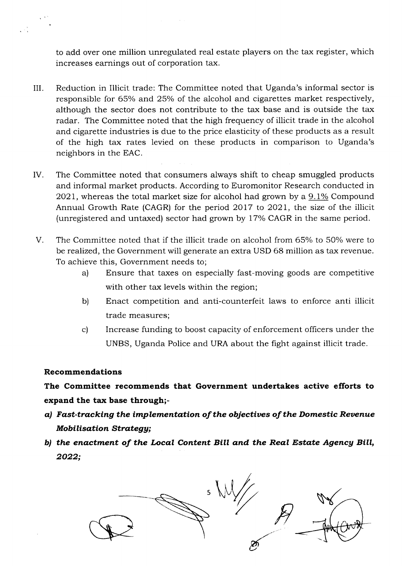to add over one million unregulated real estate players on the tax register, which increases earnings out of corporation tax.

- III Reduction in Illicit trade: The Committee noted that Uganda's informal sector is responsible for 65% and 25% of the alcohol and cigarettes market respectively, although the sector does not contribute to the tax base and is outside the tax radar. The Committee noted that the high frequency of illicit trade in the alcohol and cigarette industries is due to the price elasticity of these products as a result of the high tax rates levied on these products in comparison to Uganda's neighbors in the EAC.
- IV The Committee noted that consumers always shift to cheap smuggled products and informal market products. According to Euromonitor Research conducted in  $2021$ , whereas the total market size for alcohol had grown by a 9.1% Compound Annual Growth Rate (CAGR) for the period 2Ol7 to 2021, the size of the illicit (unregistered and untaxed) sector had grown by 17% CAGR in the same period.
- The Committee noted that if the illicit trade on alcohol from 65% to 50% were to be realized, the Government will generate an extra USD 68 million as tax revenue. To achieve this, Government needs to; V
	- a) Ensure that taxes on especially fast-moving goods are competitive with other tax levels within the region;
	- b) Enact competition and anti-counterfeit laws to enforce anti illicit trade measures;
	- c) Increase funding to boost capacity of enforcement officers under the UNBS, Uganda Police and URA about the fight against illicit trade.

## Recommendations

The Committee recommends that Government undertakes active efforts to expand the tax base through;-

- a) Fast-tracking the implementation of the objectives of the Domestic Revenue Mobilisation Strategy;
- b) the enactment of the Local Content Bill and the Real Estate Agencg Bill, 2022;

5 H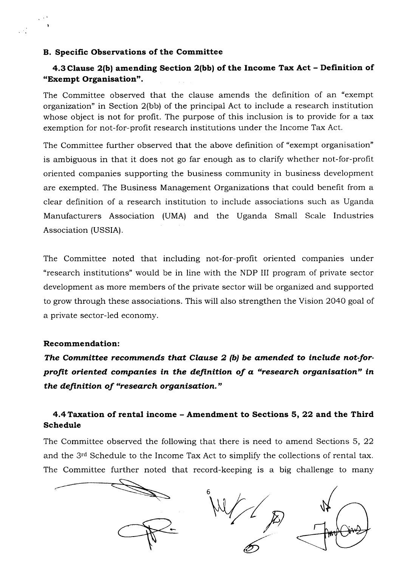#### B. Specific Observations of the Committee

# 4.3 Clause 2(bl amending Section 2(bbl of the Income Tax Act - Definition of "Exempt Organisation".

The Committee observed that the clause amends the definition of an "exempt organization" in Section 2(bb) of the principal Act to include a research institution whose object is not for profit. The purpose of this inclusion is to provide for a tax exemption for not-for-profit research institutions under the Income Tax Act.

The Committee further observed that the above definition of "exempt organisation" is ambiguous in that it does not go far enough as to clarify whether not-for-profit oriented companies supporting the business community in business development are exempted. The Business Management Organizations that could benefit from a clear definition of a research institution to include associations such as Uganda Manufacturers Association (UMA) and the Uganda Small Scale Industries Association (USSIA).

The Committee noted that including not-for-profit oriented companies under "research institutions" would be in line with the NDP III program of private sector development as more members of the private sector will be organized and supported to grow through these associations. This will also strengthen the Vision 2O4O goal of a private sector-led economy.

## Recommendation:

The Committee recommends that Clause  $2$  (b) be amended to include not-forprofit oriented companies in the definition of a "research organisation" in the definition of "research organisation."

# 4.4 Taxation of rental income - Amendment to Sections 5, 22 and the Third Schedule

The Committee observed the following that there is need to amend Sections 5, 22 and the 3<sup>rd</sup> Schedule to the Income Tax Act to simplify the collections of rental tax. The Committee further noted that record-keeping is a big challenge to many

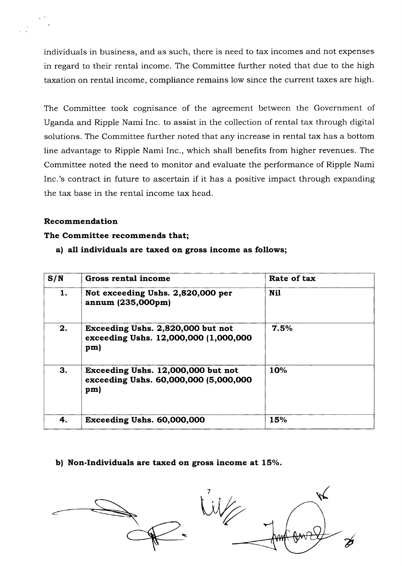individuals in business, and as such, there is need to tax incomes and not expenses in regard to their rentai income. The Committee further noted that due to the high taxation on rental income, compliance remains low since the current taxes are high.

The Committee took cognisance of the agreement between the Government of Uganda and Ripple Nami Inc. to assist in the collection of rental tax through digital solutions. The Committee further noted that any increase in rental tax has a bottom line advantage to Ripple Nami Inc., which shall benefits from higher revenues. The Committee noted the need to monitor and evaluate the performance of Ripple Nami Inc.'s contract in future to ascertain if it has a positive impact through expanding the tax base in the rental income tax head.

## Recommendation

## The Committee recommends that;

a) all individuals are taxed on gross income as follows;

| S/N | Gross rental income                                                                | Rate of tax |  |  |
|-----|------------------------------------------------------------------------------------|-------------|--|--|
| 1.  | Not exceeding Ushs. 2,820,000 per<br>annum (235,000pm)                             | <b>Nil</b>  |  |  |
| 2.  | Exceeding Ushs. 2,820,000 but not<br>exceeding Ushs. 12,000,000 (1,000,000<br>pm)  | 7.5%        |  |  |
| 3.  | Exceeding Ushs. 12,000,000 but not<br>exceeding Ushs. 60,000,000 (5,000,000<br>pm) | 10%         |  |  |
| 4.  | Exceeding Ushs. 60,000,000                                                         | 15%         |  |  |

b) Non-Individuals are taxed on gross income at 15%.

7 R.  $W$ v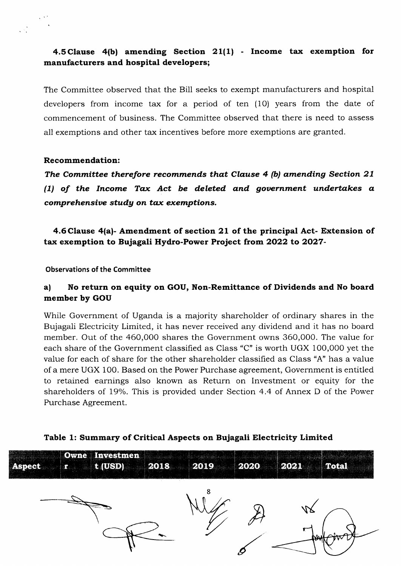# 4.5 Clause 4(b) amending Section 21(1) - Income tax exemption for manufacturers and hospital developers;

The Committee observed that the Bill seeks to exempt manufacturers and hospital deveiopers from income tax for a period of ten (10) years from the date of commencement of business. The Committee observed that there is need to assess all exemptions and other tax incentives before more exemptions are granted.

## Recommendation:

The Committee therefore recommends that Clause 4 (b) amending Section 27 (1) of the Income Tax Act be deleted and gouernment undertakes a comprehensive study on tax exemptions.

4.6Clause 4(a)- Amendment of section 2L of the principal Act- Extension of tax exemption to Bujagali Hydro-Power Project from 2o22 to 2027-

Observations of the Committee

# a) No return on equity on GOU, Non-Remittance of Dividends and No board member by GOU

While Government of Uganda is a majority shareholder of ordinary shares in the Bujagali Electricity Limited, it has never received any dividend and it has no board member. Out of the 460,000 shares the Government owns 360,000. The value for each share of the Government classified as Class "C" is worth UGX 100,000 yet the value for each of share for the other shareholder classified as Class "A" has a value of a mere UGX 1O0. Based on the Power Furchase agreement, Government is entitled to retained earnings also known as Return on Investment or equity for the shareholders of 19%. This is provided under Section 4.4 of Annex D of the Power Purchase Agreement.



## Table 1: Summary of Critical Aspects on Bujagali Electricity Limited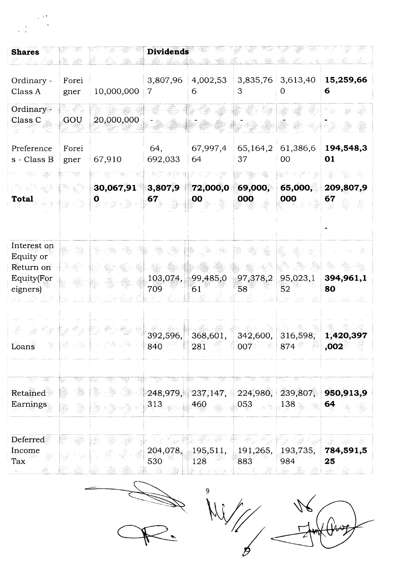| <b>Shares</b>                                                           |                 |                 | <b>Dividends</b>       |                              |                             |                     |                       |
|-------------------------------------------------------------------------|-----------------|-----------------|------------------------|------------------------------|-----------------------------|---------------------|-----------------------|
| Ordinary -<br>Class A                                                   | Forei<br>gner   | 10,000,000      | 3,807,96<br>7          | 4,002,53<br>6                | 3                           | $3,835,76$ 3,613,40 | 15,259,66<br>6        |
| Ordinary -<br>Class <sub>C</sub>                                        | GOU             | 20,000,000      |                        |                              |                             |                     |                       |
| Preference<br>s - Class B                                               | Forei<br>gner   | 67,910          | 64,<br>692,033         | 67,997,4<br>64               | 65,164,2<br>37              | 61,386,6<br>00      | 194,548,3<br>01       |
| <b>Total</b>                                                            |                 | 30,067,91<br>U  | 3,807,9<br>67          | 72,000,0<br>00               | 69,000,<br>000              | 65,000,<br>000      | 209,807,9<br>67       |
| Interest on<br>Equity or<br>Return on<br><b>Equity</b> (For<br>eigners) |                 |                 | 103,074,<br>709        | 99,485,0<br>61               | 97,378,2<br>58 <sup>°</sup> | 95,023,1<br>52      | 394,961,1<br>80       |
| Loans                                                                   | 1526 (B. 1427). | 고개에 개발 통합 가능 경향 | 392,596,<br>840        | 368,601,<br>281              | 342,600,<br>007<br>그릇       | 316,598;<br>874     | 1,420,397<br>,002     |
| W<br>363<br>Retained<br>Earnings                                        | ą               |                 | tjr<br>248,979,<br>313 | 72<br>77.<br>237,147,<br>460 | 224,980,<br>053             | 239,807,<br>138     | Ŧр<br>950,913,9<br>64 |
| Deferred<br>Income<br>Tax<br>$\sin^2\beta$ .                            |                 |                 | 204,078,<br>530        | 195,511,<br>128<br>¥ida a‴a  | 191,265,<br>883             | 193,735,<br>984     | 784,591,5<br>25       |

 $\ddot{\phantom{0}}$ 

9 v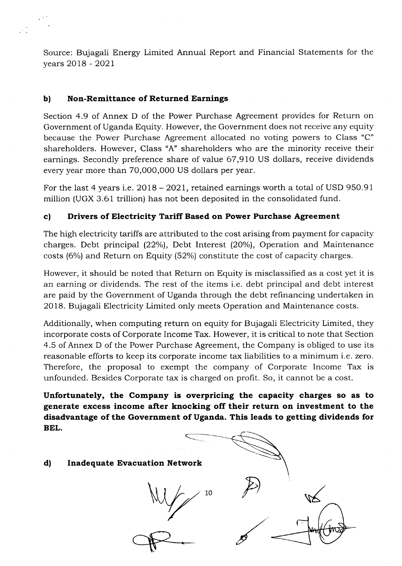Source: Bujagali Energy Limited Annual Report and Financial Statements for the years 2Ol8 - 2O2L

## b) Non-Remittance of Returned Earnings

Section 4.9 of Annex D of the Power Purchase Agreement provides for Return on Government of Uganda Equity. However, the Government does not receive any equity because the Power Purchase Agreement allocated no voting powers to Class "C" shareholders. However, Class "A" shareholders who are the minority receive their earnings. Secondly preference share of value 67,91O US dollars, receive dividends every year more than 70,O00,O0O US dollars per year.

For the last 4 years i.e.  $2018 - 2021$ , retained earnings worth a total of USD 950.91 million (UGX 3.61 trillion) has not been deposited in the consolidated fund.

# c) Drivers of Electricity Tariff Based on Power Purchase Agreement

The high electricity tariffs are attributed to the cost arising from payment for capacity charges. Debt principal (22%), Debt Interest (20%), Operation and Maintenance costs (6%) and Return on Equity (52%) constitute the cost of capacity charges.

However, it should be noted that Return on Equity is misclassified as a cost yet it is an earning or dividends. The rest of the items i.e. debt principal and debt interest are paid by the Government of Uganda through the debt refinancing undertaken in 2018. Bujagali Electricity Limited only meets Operation and Maintenance costs.

Additionally, when computing return on equity for Bujagali Electricity Limited, they incorporate costs of Corporate Income Tax. However, it is critical to note that Section 4.5 of Annex D of the Power Purchase Agreement, the Company is obliged to use its reasonable efforts to keep its corporate income tax liabilities to a minimum i.e. zero. Therefore, the proposal to exempt the company of Corporate Income Tax is unfounded. Besides Corporate tax is charged on profit. So, it cannot be a cost.

Unfortunately, the Company is overpricing the capacity charges so as to generate excess income after knocking off their return on investment to the disadvantage of the Government of Uganda. This leads to getting dividends for BEL.

# d) Inadequate Evacuation Network  $\overline{P}$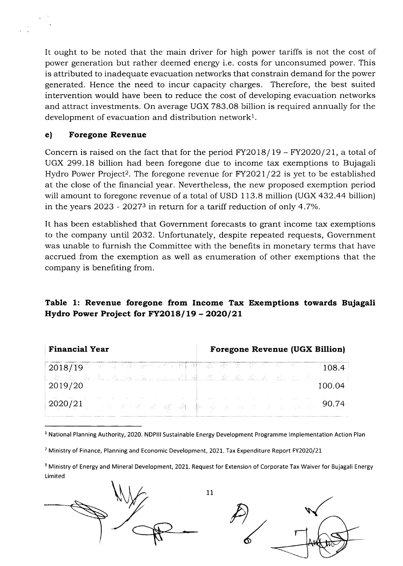It ought to be noted that the main driver for high power tariffs is not the cost of power generation but rather deemed energy i.e. costs for unconsumed power. This is attributed to inadequate evacuation networks that constrain demand for the power generated. Hence the need to incur capacity charges. Therefore, the best suited intervention would have been to reduce the cost of developing evacuation networks and attract investments. On average UGX 783.08 billion is required annually for the development of evacuation and distribution network<sup>1</sup>.

## e) Foregone Revenue

Concern is raised on the fact that for the period  $FY2018/19 - FY2020/21$ , a total of UGX 299.18 billion had been foregone due to income tax exemptions to Bujagali Hydro Power Project<sup>2</sup>. The foregone revenue for  $FY2021/22$  is yet to be established at the close of the financial year. Nevertheless, the new proposed exemption period will amount to foregone revenue of a total of USD 113.8 million (UGX 432.44 billion) in the years  $2023 - 20273$  in return for a tariff reduction of only 4.7%.

It has been established that Government forecasts to grant income tax exemptions to the company until 2032. Unfortunately, despite repeated requests, Government was unable to furnish the Committee with the benefits in monetary terms that have accrued from the exemption as well as enumeration of other exemptions that the company is benefiting from.

# Table 1: Revenue foregone from Income Tax Exemptions towards Bujagali Hydro Power Project for  $FY2018/19 - 2020/21$

| <b>Financial Year</b> | <b>Foregone Revenue (UGX Billion)</b>                                                                                    |  |  |  |  |
|-----------------------|--------------------------------------------------------------------------------------------------------------------------|--|--|--|--|
| 2018/19 - 108.4       |                                                                                                                          |  |  |  |  |
| 2019/20               | að að þó þau mar lang sem stóð að lað að að lað sem stóðu sem stóðu sem stóðu var stóðu sem stóðu sem stóðu se<br>100.04 |  |  |  |  |
| 2020/21               | 医电影影像 艦 糟 囊 新原 医单 医血管                                                                                                    |  |  |  |  |

<sup>1</sup> National Planning Authority, 2020. NDPIII Sustainable Energy Development Programme Implementation Action Plan

<sup>2</sup> Ministry of Finance, Planning and Economic Development, 2021. Tax Expenditure Report FY2020/21

<sup>3</sup> Ministry of Energy and Mineral Development, 2021. Request for Extension of Corporate Tax Waiver for Bujagali Energy Limited

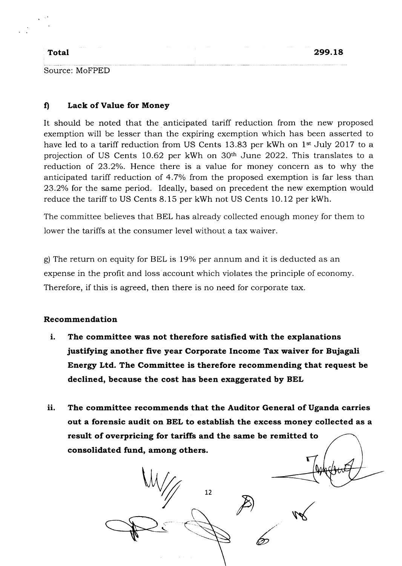## Total

Source: MoFPED

## fl Lack of Value for Money

It should be noted that the anticipated tariff reduction from the new proposed exemption will be lesser than the expiring exemption which has been asserted to have led to a tariff reduction from US Cents 13.83 per kWh on 1<sup>st</sup> July 2017 to a projection of US Cents 10.62 per kWh on 30<sup>th</sup> June 2022. This translates to a reduction of 23.2%. Hence there is a value for money concern as to why the anticipated tariff reduction of 4.7% from the proposed exemption is far less than 23.2% for the same period. Ideally, based on precedent the new exemption would reduce the tariff to US Cents 8.15 per kWh not US Cents 10.12 per kWh.

The committee believes that BEL has already collected enough money for them to lower the tariffs at the consumer level without a tax waiver.

g) The return on equity for BEL is 19% per annum and it is deducted as an expense in the profit and loss account which violates the principle of economy Therefore, if this is agreed, then there is no need for corporate tax.

## Recommendation

- The committee was not therefore satisfied with the explanations justifying another five year Corporate Income Tax waiver for Bujagali Energy Ltd. The Committee is therefore recommending that request be declined, because the cost has been exaggerated by BEL i.
- ii. The committee recommends that the Auditor General of Uganda carries out a forensic audit on BEL to establish the excess money collected as a result of overpricing for tariffs and the same be remitted to consolidated fund, among others.

<sup>n</sup> v <sup>72</sup>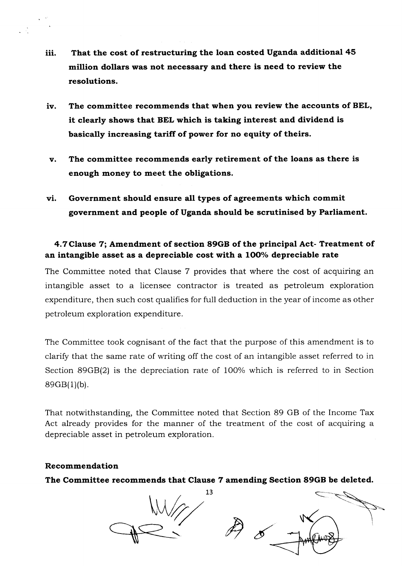- iii. That the cost of restructuring the loan costed Uganda additional 45 million dollars was not necessary and there is need to review the resolutions.
- iv. The committee recommends that when you review the accounts of BEL, it clearly shows that BEL which is taking interest and dividend is basically increasing tariff of power for no equity of theirs.
- v The committee recommends early retirement of the loans as there is enough money to meet the obligations.
- vi. Government should ensure all types of agreements which commit government and people of Uganda should be scrutinised by Parliament.

# 4.7Clause 7; Amendment of section 89GB of the principal Act- Treatment of an intangible asset as a depreciable cost with a 100% depreciable rate

The Committee noted that Clause 7 provides that where the cost of acquiring an intangible asset to a licensee contractor is treated as petroleum exploration expenditure, then such cost qualifies for full deduction in the year of income as other petroleum exploration expenditure.

The Committee took cognisant of the fact that the purpose of this amendment is to clarify that the same rate of writing off the cost of an intangible asset referred to in Section 89GB(2) is the depreciation rate of 100% which is referred to in Section  $89GB(1)(b)$ .

That notwithstanding, the Committee noted that Section 89 GB of the Income Tax Act already provides for the manner of the treatment of the cost of acquiring a depreciable asset in petroleum exploration.

## Recommendation

The Committee recommends that Clause 7 amending Section 89GB be deleted.